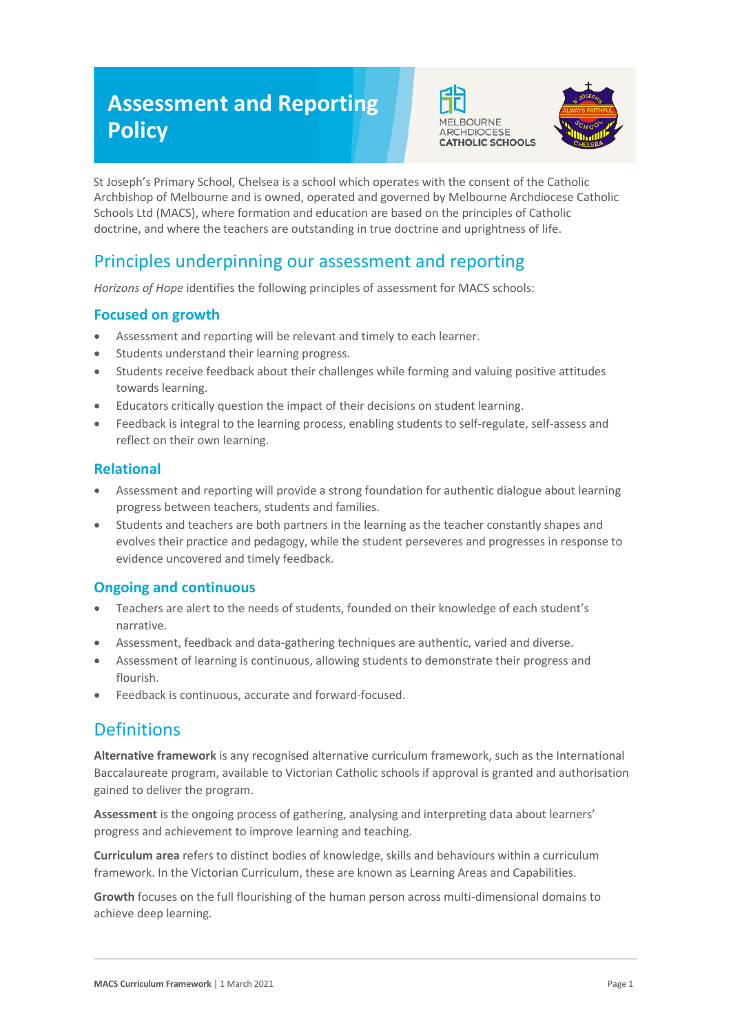# **Assessment and Reporting Policy**





St Joseph's Primary School, Chelsea is a school which operates with the consent of the Catholic Archbishop of Melbourne and is owned, operated and governed by Melbourne Archdiocese Catholic Schools Ltd (MACS), where formation and education are based on the principles of Catholic doctrine, and where the teachers are outstanding in true doctrine and uprightness of life.

# Principles underpinning our assessment and reporting

*Horizons of Hope* identifies the following principles of assessment for MACS schools:

#### **Focused on growth**

- Assessment and reporting will be relevant and timely to each learner.
- Students understand their learning progress.
- Students receive feedback about their challenges while forming and valuing positive attitudes towards learning.
- Educators critically question the impact of their decisions on student learning.
- Feedback is integral to the learning process, enabling students to self-regulate, self-assess and reflect on their own learning.

#### **Relational**

- Assessment and reporting will provide a strong foundation for authentic dialogue about learning progress between teachers, students and families.
- Students and teachers are both partners in the learning as the teacher constantly shapes and evolves their practice and pedagogy, while the student perseveres and progresses in response to evidence uncovered and timely feedback.

#### **Ongoing and continuous**

- Teachers are alert to the needs of students, founded on their knowledge of each student's narrative.
- Assessment, feedback and data-gathering techniques are authentic, varied and diverse.
- Assessment of learning is continuous, allowing students to demonstrate their progress and flourish.
- Feedback is continuous, accurate and forward-focused.

## **Definitions**

**Alternative framework** is any recognised alternative curriculum framework, such as the International Baccalaureate program, available to Victorian Catholic schools if approval is granted and authorisation gained to deliver the program.

**Assessment** is the ongoing process of gathering, analysing and interpreting data about learners' progress and achievement to improve learning and teaching.

**Curriculum area** refers to distinct bodies of knowledge, skills and behaviours within a curriculum framework. In the Victorian Curriculum, these are known as Learning Areas and Capabilities.

**Growth** focuses on the full flourishing of the human person across multi-dimensional domains to achieve deep learning.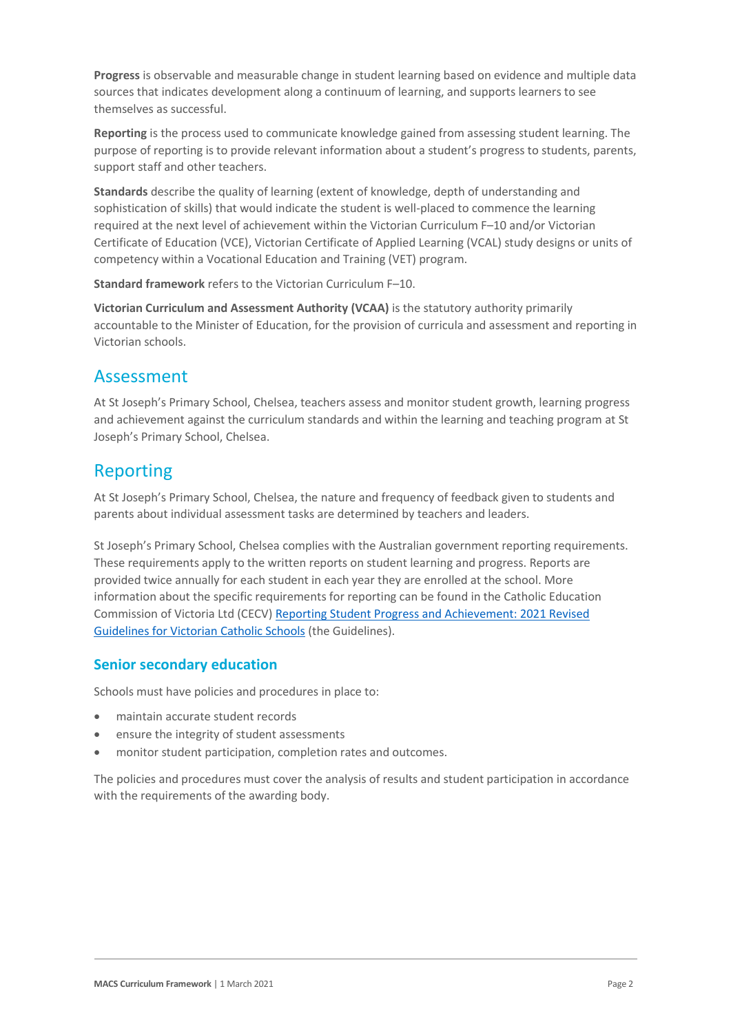**Progress** is observable and measurable change in student learning based on evidence and multiple data sources that indicates development along a continuum of learning, and supports learners to see themselves as successful.

**Reporting** is the process used to communicate knowledge gained from assessing student learning. The purpose of reporting is to provide relevant information about a student's progress to students, parents, support staff and other teachers.

**Standards** describe the quality of learning (extent of knowledge, depth of understanding and sophistication of skills) that would indicate the student is well-placed to commence the learning required at the next level of achievement within the Victorian Curriculum F–10 and/or Victorian Certificate of Education (VCE), Victorian Certificate of Applied Learning (VCAL) study designs or units of competency within a Vocational Education and Training (VET) program.

**Standard framework** refers to the Victorian Curriculum F–10.

**Victorian Curriculum and Assessment Authority (VCAA)** is the statutory authority primarily accountable to the Minister of Education, for the provision of curricula and assessment and reporting in Victorian schools.

## Assessment

At St Joseph's Primary School, Chelsea, teachers assess and monitor student growth, learning progress and achievement against the curriculum standards and within the learning and teaching program at St Joseph's Primary School, Chelsea.

## Reporting

At St Joseph's Primary School, Chelsea, the nature and frequency of feedback given to students and parents about individual assessment tasks are determined by teachers and leaders.

St Joseph's Primary School, Chelsea complies with the Australian government reporting requirements. These requirements apply to the written reports on student learning and progress. Reports are provided twice annually for each student in each year they are enrolled at the school. More information about the specific requirements for reporting can be found in the Catholic Education Commission of Victoria Ltd (CECV) [Reporting Student Progress and Achievement: 2021 Revised](https://cevn.cecv.catholic.edu.au/MelbourneDiocese/Document-File/Curriculum/Reporting/CECV-2019-Revised-Student-Reporting-Guidelines.aspx)  [Guidelines for Victorian Catholic Schools](https://cevn.cecv.catholic.edu.au/MelbourneDiocese/Document-File/Curriculum/Reporting/CECV-2019-Revised-Student-Reporting-Guidelines.aspx) (the Guidelines).

### **Senior secondary education**

Schools must have policies and procedures in place to:

- maintain accurate student records
- ensure the integrity of student assessments
- monitor student participation, completion rates and outcomes.

The policies and procedures must cover the analysis of results and student participation in accordance with the requirements of the awarding body.